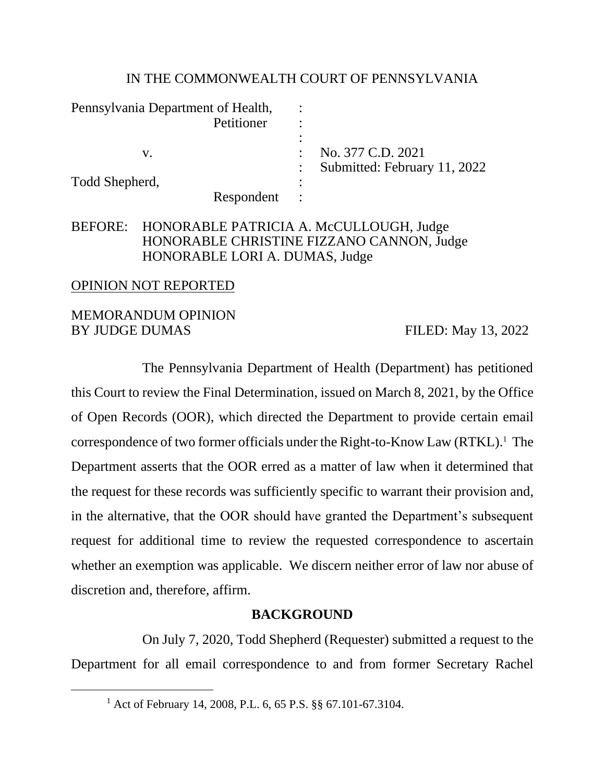### IN THE COMMONWEALTH COURT OF PENNSYLVANIA

| Pennsylvania Department of Health, |            |   |                              |
|------------------------------------|------------|---|------------------------------|
|                                    | Petitioner | ٠ |                              |
|                                    |            |   |                              |
| V.                                 |            |   | No. 377 C.D. 2021            |
|                                    |            |   | Submitted: February 11, 2022 |
| Todd Shepherd,                     |            | ٠ |                              |
|                                    | Respondent |   |                              |

## BEFORE: HONORABLE PATRICIA A. McCULLOUGH, Judge HONORABLE CHRISTINE FIZZANO CANNON, Judge HONORABLE LORI A. DUMAS, Judge

## OPINION NOT REPORTED

## MEMORANDUM OPINION BY JUDGE DUMAS FILED: May 13, 2022

The Pennsylvania Department of Health (Department) has petitioned this Court to review the Final Determination, issued on March 8, 2021, by the Office of Open Records (OOR), which directed the Department to provide certain email correspondence of two former officials under the Right-to-Know Law (RTKL). 1 The Department asserts that the OOR erred as a matter of law when it determined that the request for these records was sufficiently specific to warrant their provision and, in the alternative, that the OOR should have granted the Department's subsequent request for additional time to review the requested correspondence to ascertain whether an exemption was applicable. We discern neither error of law nor abuse of discretion and, therefore, affirm.

## **BACKGROUND**

On July 7, 2020, Todd Shepherd (Requester) submitted a request to the Department for all email correspondence to and from former Secretary Rachel

<sup>1</sup> Act of February 14, 2008, P.L. 6, 65 P.S. §§ 67.101-67.3104.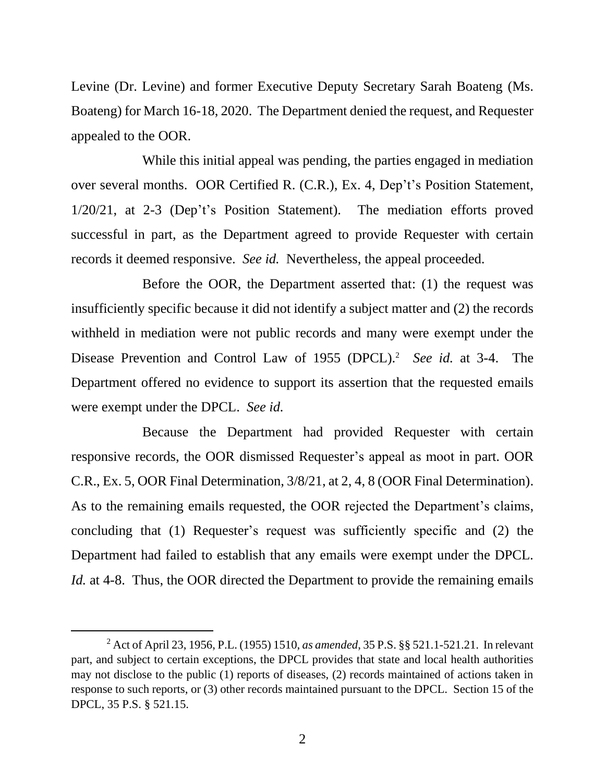Levine (Dr. Levine) and former Executive Deputy Secretary Sarah Boateng (Ms. Boateng) for March 16-18, 2020. The Department denied the request, and Requester appealed to the OOR.

While this initial appeal was pending, the parties engaged in mediation over several months. OOR Certified R. (C.R.), Ex. 4, Dep't's Position Statement, 1/20/21, at 2-3 (Dep't's Position Statement). The mediation efforts proved successful in part, as the Department agreed to provide Requester with certain records it deemed responsive. *See id.* Nevertheless, the appeal proceeded.

Before the OOR, the Department asserted that: (1) the request was insufficiently specific because it did not identify a subject matter and (2) the records withheld in mediation were not public records and many were exempt under the Disease Prevention and Control Law of 1955 (DPCL).<sup>2</sup> See id. at 3-4. The Department offered no evidence to support its assertion that the requested emails were exempt under the DPCL. *See id.*

Because the Department had provided Requester with certain responsive records, the OOR dismissed Requester's appeal as moot in part. OOR C.R., Ex. 5, OOR Final Determination, 3/8/21, at 2, 4, 8 (OOR Final Determination). As to the remaining emails requested, the OOR rejected the Department's claims, concluding that (1) Requester's request was sufficiently specific and (2) the Department had failed to establish that any emails were exempt under the DPCL. *Id.* at 4-8. Thus, the OOR directed the Department to provide the remaining emails

<sup>2</sup> Act of April 23, 1956, P.L. (1955) 1510, *as amended*, 35 P.S. §§ 521.1-521.21. In relevant part, and subject to certain exceptions, the DPCL provides that state and local health authorities may not disclose to the public (1) reports of diseases, (2) records maintained of actions taken in response to such reports, or (3) other records maintained pursuant to the DPCL. Section 15 of the DPCL, 35 P.S. § 521.15.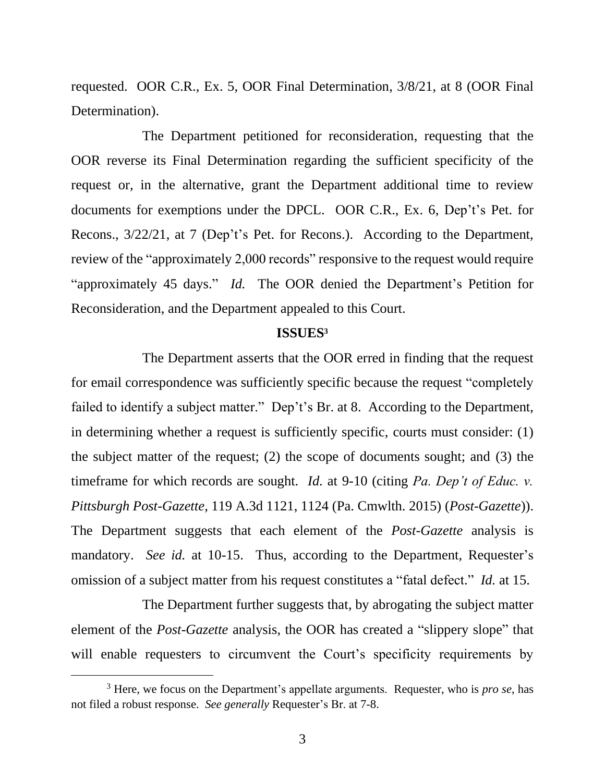requested. OOR C.R., Ex. 5, OOR Final Determination, 3/8/21, at 8 (OOR Final Determination).

The Department petitioned for reconsideration, requesting that the OOR reverse its Final Determination regarding the sufficient specificity of the request or, in the alternative, grant the Department additional time to review documents for exemptions under the DPCL. OOR C.R., Ex. 6, Dep't's Pet. for Recons., 3/22/21, at 7 (Dep't's Pet. for Recons.). According to the Department, review of the "approximately 2,000 records" responsive to the request would require "approximately 45 days." *Id.* The OOR denied the Department's Petition for Reconsideration, and the Department appealed to this Court.

#### **ISSUES<sup>3</sup>**

The Department asserts that the OOR erred in finding that the request for email correspondence was sufficiently specific because the request "completely failed to identify a subject matter." Dep't's Br. at 8. According to the Department, in determining whether a request is sufficiently specific, courts must consider: (1) the subject matter of the request; (2) the scope of documents sought; and (3) the timeframe for which records are sought. *Id.* at 9-10 (citing *Pa. Dep't of Educ. v. Pittsburgh Post-Gazette*, 119 A.3d 1121, 1124 (Pa. Cmwlth. 2015) (*Post-Gazette*)). The Department suggests that each element of the *Post-Gazette* analysis is mandatory. *See id.* at 10-15. Thus, according to the Department, Requester's omission of a subject matter from his request constitutes a "fatal defect." *Id.* at 15.

The Department further suggests that, by abrogating the subject matter element of the *Post-Gazette* analysis, the OOR has created a "slippery slope" that will enable requesters to circumvent the Court's specificity requirements by

<sup>3</sup> Here, we focus on the Department's appellate arguments. Requester, who is *pro se*, has not filed a robust response. *See generally* Requester's Br. at 7-8.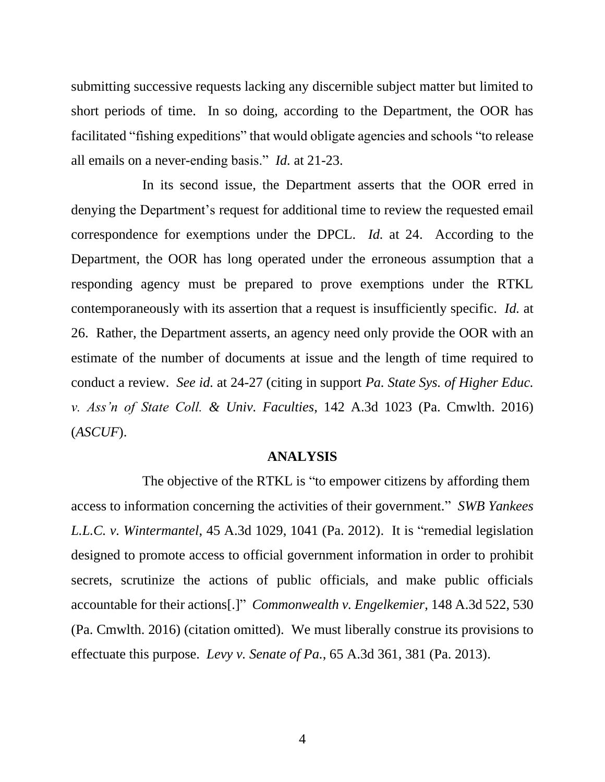submitting successive requests lacking any discernible subject matter but limited to short periods of time. In so doing, according to the Department, the OOR has facilitated "fishing expeditions" that would obligate agencies and schools "to release all emails on a never-ending basis." *Id.* at 21-23.

In its second issue, the Department asserts that the OOR erred in denying the Department's request for additional time to review the requested email correspondence for exemptions under the DPCL. *Id.* at 24. According to the Department, the OOR has long operated under the erroneous assumption that a responding agency must be prepared to prove exemptions under the RTKL contemporaneously with its assertion that a request is insufficiently specific. *Id.* at 26. Rather, the Department asserts, an agency need only provide the OOR with an estimate of the number of documents at issue and the length of time required to conduct a review. *See id.* at 24-27 (citing in support *Pa. State Sys. of Higher Educ. v. Ass'n of State Coll. & Univ. Faculties*, 142 A.3d 1023 (Pa. Cmwlth. 2016) (*ASCUF*).

#### **ANALYSIS**

The objective of the RTKL is "to empower citizens by affording them access to information concerning the activities of their government." *SWB Yankees L.L.C. v. Wintermantel*, 45 A.3d 1029, 1041 (Pa. 2012). It is "remedial legislation designed to promote access to official government information in order to prohibit secrets, scrutinize the actions of public officials, and make public officials accountable for their actions[.]" *Commonwealth v. Engelkemier*, 148 A.3d 522, 530 (Pa. Cmwlth. 2016) (citation omitted). We must liberally construe its provisions to effectuate this purpose. *Levy v. Senate of Pa.*, 65 A.3d 361, 381 (Pa. 2013).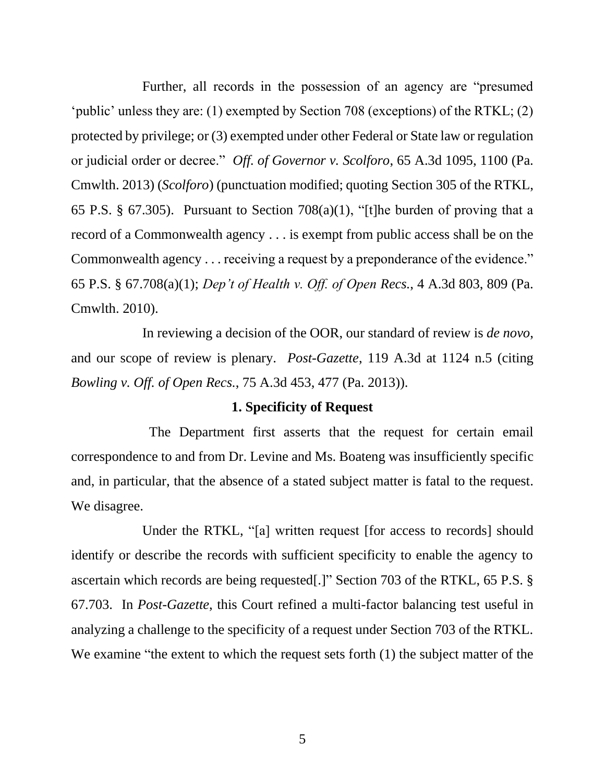Further, all records in the possession of an agency are "presumed 'public' unless they are: (1) exempted by Section 708 (exceptions) of the RTKL; (2) protected by privilege; or (3) exempted under other Federal or State law or regulation or judicial order or decree." *Off. of Governor v. Scolforo*, 65 A.3d 1095, 1100 (Pa. Cmwlth. 2013) (*Scolforo*) (punctuation modified; quoting Section 305 of the RTKL, 65 P.S. § 67.305). Pursuant to Section 708(a)(1), "[t]he burden of proving that a record of a Commonwealth agency . . . is exempt from public access shall be on the Commonwealth agency . . . receiving a request by a preponderance of the evidence." 65 P.S. § 67.708(a)(1); *Dep't of Health v. Off. of Open Recs.*, 4 A.3d 803, 809 (Pa. Cmwlth. 2010).

In reviewing a decision of the OOR, our standard of review is *de novo*, and our scope of review is plenary. *Post-Gazette*, 119 A.3d at 1124 n.5 (citing *Bowling v. Off. of Open Recs.*, 75 A.3d 453, 477 (Pa. 2013)).

#### **1. Specificity of Request**

 The Department first asserts that the request for certain email correspondence to and from Dr. Levine and Ms. Boateng was insufficiently specific and, in particular, that the absence of a stated subject matter is fatal to the request. We disagree.

Under the RTKL, "[a] written request [for access to records] should identify or describe the records with sufficient specificity to enable the agency to ascertain which records are being requested[.]" Section 703 of the RTKL, 65 P.S. § 67.703. In *Post-Gazette*, this Court refined a multi-factor balancing test useful in analyzing a challenge to the specificity of a request under Section 703 of the RTKL. We examine "the extent to which the request sets forth (1) the subject matter of the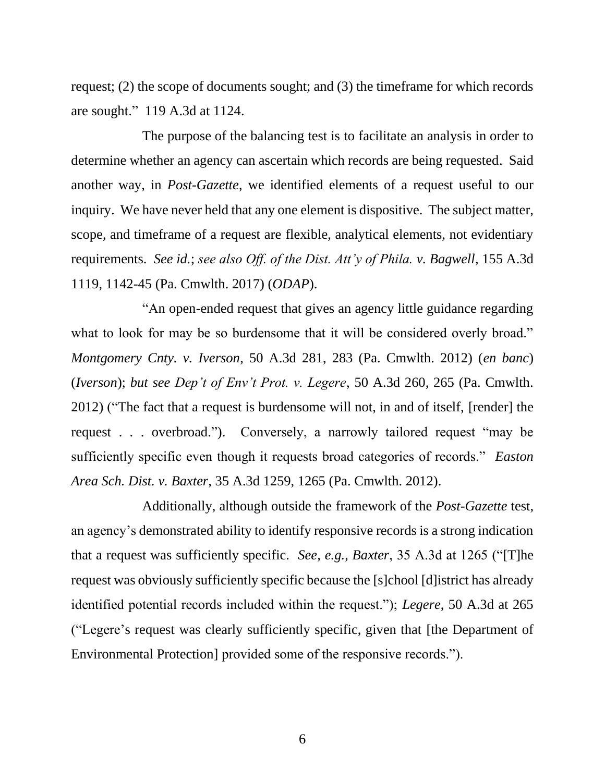request; (2) the scope of documents sought; and (3) the timeframe for which records are sought." 119 A.3d at 1124.

The purpose of the balancing test is to facilitate an analysis in order to determine whether an agency can ascertain which records are being requested. Said another way, in *Post-Gazette*, we identified elements of a request useful to our inquiry. We have never held that any one element is dispositive. The subject matter, scope, and timeframe of a request are flexible, analytical elements, not evidentiary requirements. *See id.*; *see also Off. of the Dist. Att'y of Phila. v. Bagwell*, 155 A.3d 1119, 1142-45 (Pa. Cmwlth. 2017) (*ODAP*).

"An open-ended request that gives an agency little guidance regarding what to look for may be so burdensome that it will be considered overly broad." *Montgomery Cnty. v. Iverson*, 50 A.3d 281, 283 (Pa. Cmwlth. 2012) (*en banc*) (*Iverson*); *but see Dep't of Env't Prot. v. Legere*, 50 A.3d 260, 265 (Pa. Cmwlth. 2012) ("The fact that a request is burdensome will not, in and of itself, [render] the request . . . overbroad."). Conversely, a narrowly tailored request "may be sufficiently specific even though it requests broad categories of records." *Easton Area Sch. Dist. v. Baxter*, 35 A.3d 1259, 1265 (Pa. Cmwlth. 2012).

Additionally, although outside the framework of the *Post-Gazette* test, an agency's demonstrated ability to identify responsive records is a strong indication that a request was sufficiently specific. *See, e.g.*, *Baxter*, 35 A.3d at 1265 ("[T]he request was obviously sufficiently specific because the [s]chool [d]istrict has already identified potential records included within the request."); *Legere*, 50 A.3d at 265 ("Legere's request was clearly sufficiently specific, given that [the Department of Environmental Protection] provided some of the responsive records.").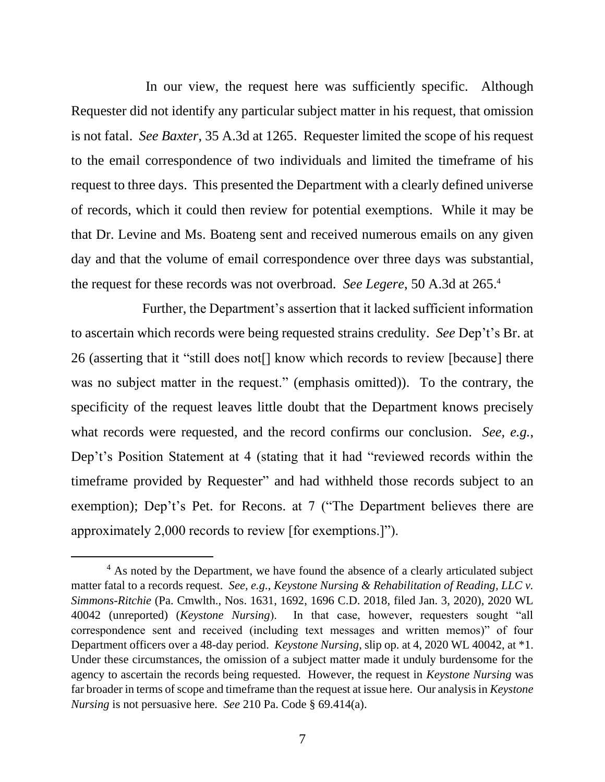In our view, the request here was sufficiently specific. Although Requester did not identify any particular subject matter in his request, that omission is not fatal. *See Baxter*, 35 A.3d at 1265. Requester limited the scope of his request to the email correspondence of two individuals and limited the timeframe of his request to three days. This presented the Department with a clearly defined universe of records, which it could then review for potential exemptions. While it may be that Dr. Levine and Ms. Boateng sent and received numerous emails on any given day and that the volume of email correspondence over three days was substantial, the request for these records was not overbroad. *See Legere*, 50 A.3d at 265. 4

Further, the Department's assertion that it lacked sufficient information to ascertain which records were being requested strains credulity. *See* Dep't's Br. at 26 (asserting that it "still does not[] know which records to review [because] there was no subject matter in the request." (emphasis omitted)). To the contrary, the specificity of the request leaves little doubt that the Department knows precisely what records were requested, and the record confirms our conclusion. *See, e.g.*, Dep't's Position Statement at 4 (stating that it had "reviewed records within the timeframe provided by Requester" and had withheld those records subject to an exemption); Dep't's Pet. for Recons. at 7 ("The Department believes there are approximately 2,000 records to review [for exemptions.]").

<sup>&</sup>lt;sup>4</sup> As noted by the Department, we have found the absence of a clearly articulated subject matter fatal to a records request. *See, e.g.*, *Keystone Nursing & Rehabilitation of Reading, LLC v. Simmons-Ritchie* (Pa. Cmwlth., Nos. 1631, 1692, 1696 C.D. 2018, filed Jan. 3, 2020), 2020 WL 40042 (unreported) (*Keystone Nursing*). In that case, however, requesters sought "all correspondence sent and received (including text messages and written memos)" of four Department officers over a 48-day period. *Keystone Nursing*, slip op. at 4, 2020 WL 40042, at \*1. Under these circumstances, the omission of a subject matter made it unduly burdensome for the agency to ascertain the records being requested. However, the request in *Keystone Nursing* was far broader in terms of scope and timeframe than the request at issue here. Our analysis in *Keystone Nursing* is not persuasive here. *See* 210 Pa. Code § 69.414(a).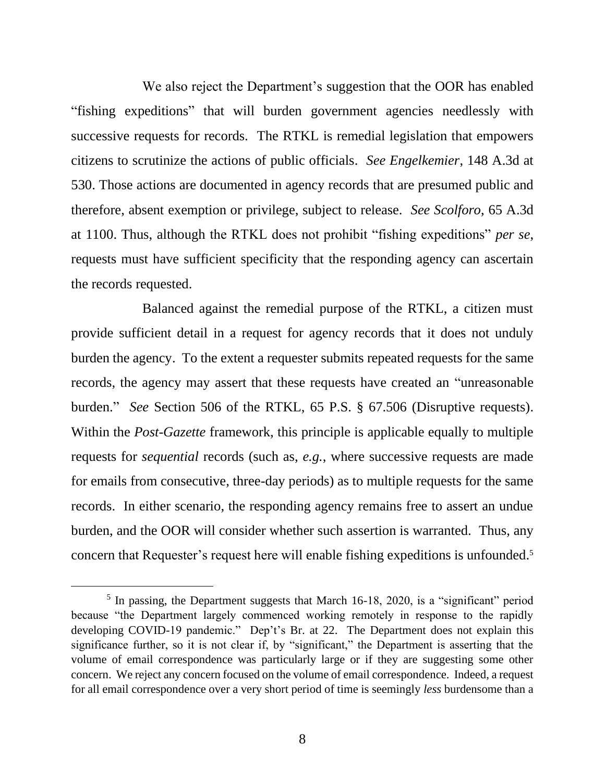We also reject the Department's suggestion that the OOR has enabled "fishing expeditions" that will burden government agencies needlessly with successive requests for records. The RTKL is remedial legislation that empowers citizens to scrutinize the actions of public officials. *See Engelkemier*, 148 A.3d at 530. Those actions are documented in agency records that are presumed public and therefore, absent exemption or privilege, subject to release. *See Scolforo*, 65 A.3d at 1100. Thus, although the RTKL does not prohibit "fishing expeditions" *per se*, requests must have sufficient specificity that the responding agency can ascertain the records requested.

Balanced against the remedial purpose of the RTKL, a citizen must provide sufficient detail in a request for agency records that it does not unduly burden the agency. To the extent a requester submits repeated requests for the same records, the agency may assert that these requests have created an "unreasonable burden." *See* Section 506 of the RTKL, 65 P.S. § 67.506 (Disruptive requests). Within the *Post-Gazette* framework, this principle is applicable equally to multiple requests for *sequential* records (such as, *e.g.*, where successive requests are made for emails from consecutive, three-day periods) as to multiple requests for the same records. In either scenario, the responding agency remains free to assert an undue burden, and the OOR will consider whether such assertion is warranted. Thus, any concern that Requester's request here will enable fishing expeditions is unfounded.<sup>5</sup>

<sup>&</sup>lt;sup>5</sup> In passing, the Department suggests that March 16-18, 2020, is a "significant" period because "the Department largely commenced working remotely in response to the rapidly developing COVID-19 pandemic." Dep't's Br. at 22. The Department does not explain this significance further, so it is not clear if, by "significant," the Department is asserting that the volume of email correspondence was particularly large or if they are suggesting some other concern. We reject any concern focused on the volume of email correspondence. Indeed, a request for all email correspondence over a very short period of time is seemingly *less* burdensome than a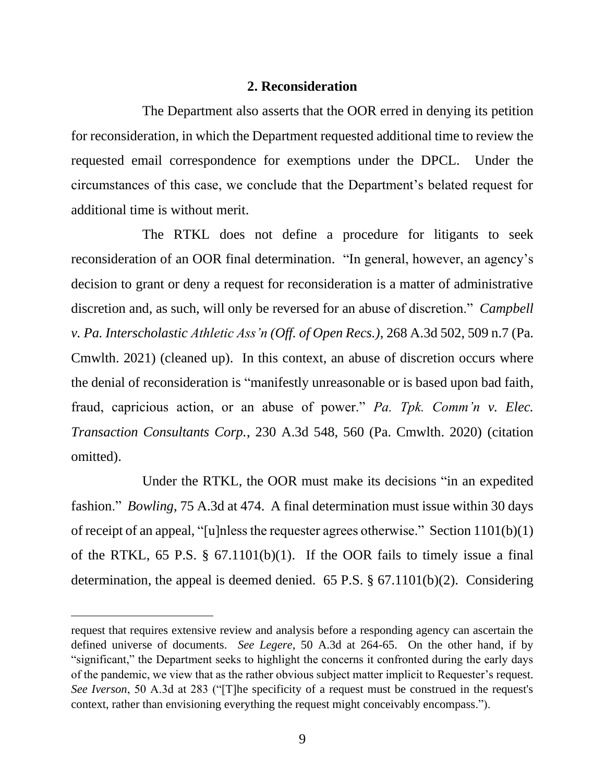#### **2. Reconsideration**

The Department also asserts that the OOR erred in denying its petition for reconsideration, in which the Department requested additional time to review the requested email correspondence for exemptions under the DPCL. Under the circumstances of this case, we conclude that the Department's belated request for additional time is without merit.

The RTKL does not define a procedure for litigants to seek reconsideration of an OOR final determination. "In general, however, an agency's decision to grant or deny a request for reconsideration is a matter of administrative discretion and, as such, will only be reversed for an abuse of discretion." *Campbell v. Pa. Interscholastic Athletic Ass'n (Off. of Open Recs.)*, 268 A.3d 502, 509 n.7 (Pa. Cmwlth. 2021) (cleaned up). In this context, an abuse of discretion occurs where the denial of reconsideration is "manifestly unreasonable or is based upon bad faith, fraud, capricious action, or an abuse of power." *Pa. Tpk. Comm'n v. Elec. Transaction Consultants Corp.*, 230 A.3d 548, 560 (Pa. Cmwlth. 2020) (citation omitted).

Under the RTKL, the OOR must make its decisions "in an expedited fashion." *Bowling*, 75 A.3d at 474. A final determination must issue within 30 days of receipt of an appeal, "[u]nless the requester agrees otherwise." Section 1101(b)(1) of the RTKL, 65 P.S.  $\S$  67.1101(b)(1). If the OOR fails to timely issue a final determination, the appeal is deemed denied. 65 P.S. § 67.1101(b)(2). Considering

request that requires extensive review and analysis before a responding agency can ascertain the defined universe of documents. *See Legere*, 50 A.3d at 264-65. On the other hand, if by "significant," the Department seeks to highlight the concerns it confronted during the early days of the pandemic, we view that as the rather obvious subject matter implicit to Requester's request. *See Iverson*, 50 A.3d at 283 ("[T]he specificity of a request must be construed in the request's context, rather than envisioning everything the request might conceivably encompass.").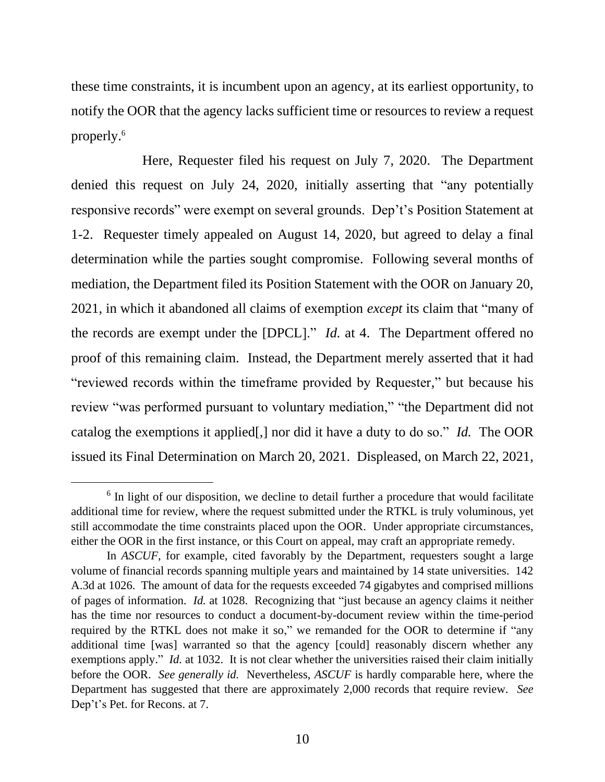these time constraints, it is incumbent upon an agency, at its earliest opportunity, to notify the OOR that the agency lacks sufficient time or resources to review a request properly. 6

Here, Requester filed his request on July 7, 2020. The Department denied this request on July 24, 2020, initially asserting that "any potentially responsive records" were exempt on several grounds. Dep't's Position Statement at 1-2. Requester timely appealed on August 14, 2020, but agreed to delay a final determination while the parties sought compromise. Following several months of mediation, the Department filed its Position Statement with the OOR on January 20, 2021, in which it abandoned all claims of exemption *except* its claim that "many of the records are exempt under the [DPCL]." *Id.* at 4. The Department offered no proof of this remaining claim. Instead, the Department merely asserted that it had "reviewed records within the timeframe provided by Requester," but because his review "was performed pursuant to voluntary mediation," "the Department did not catalog the exemptions it applied[,] nor did it have a duty to do so." *Id.* The OOR issued its Final Determination on March 20, 2021. Displeased, on March 22, 2021,

<sup>&</sup>lt;sup>6</sup> In light of our disposition, we decline to detail further a procedure that would facilitate additional time for review, where the request submitted under the RTKL is truly voluminous, yet still accommodate the time constraints placed upon the OOR. Under appropriate circumstances, either the OOR in the first instance, or this Court on appeal, may craft an appropriate remedy.

In *ASCUF*, for example, cited favorably by the Department, requesters sought a large volume of financial records spanning multiple years and maintained by 14 state universities. 142 A.3d at 1026. The amount of data for the requests exceeded 74 gigabytes and comprised millions of pages of information. *Id.* at 1028. Recognizing that "just because an agency claims it neither has the time nor resources to conduct a document-by-document review within the time-period required by the RTKL does not make it so," we remanded for the OOR to determine if "any additional time [was] warranted so that the agency [could] reasonably discern whether any exemptions apply." *Id.* at 1032. It is not clear whether the universities raised their claim initially before the OOR. *See generally id.* Nevertheless, *ASCUF* is hardly comparable here, where the Department has suggested that there are approximately 2,000 records that require review. *See* Dep't's Pet. for Recons. at 7.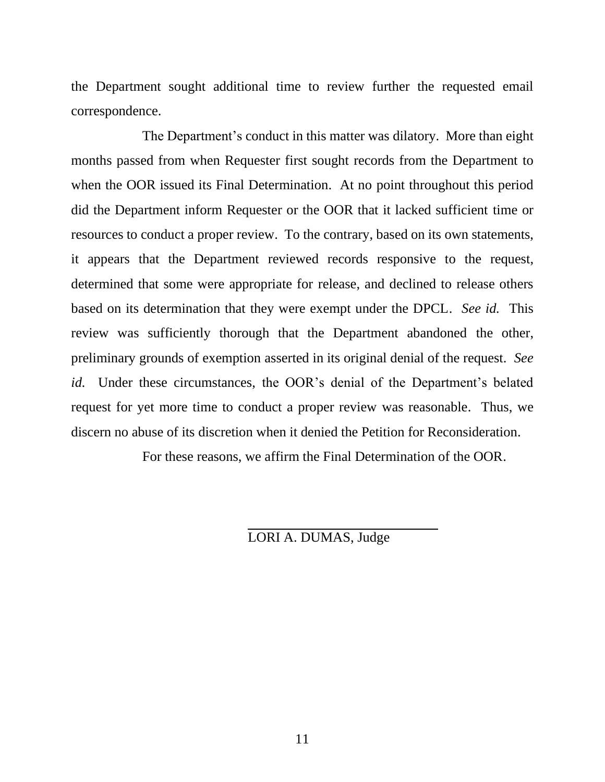the Department sought additional time to review further the requested email correspondence.

The Department's conduct in this matter was dilatory. More than eight months passed from when Requester first sought records from the Department to when the OOR issued its Final Determination. At no point throughout this period did the Department inform Requester or the OOR that it lacked sufficient time or resources to conduct a proper review. To the contrary, based on its own statements, it appears that the Department reviewed records responsive to the request, determined that some were appropriate for release, and declined to release others based on its determination that they were exempt under the DPCL. *See id.* This review was sufficiently thorough that the Department abandoned the other, preliminary grounds of exemption asserted in its original denial of the request. *See id.* Under these circumstances, the OOR's denial of the Department's belated request for yet more time to conduct a proper review was reasonable. Thus, we discern no abuse of its discretion when it denied the Petition for Reconsideration.

For these reasons, we affirm the Final Determination of the OOR.

LORI A. DUMAS, Judge